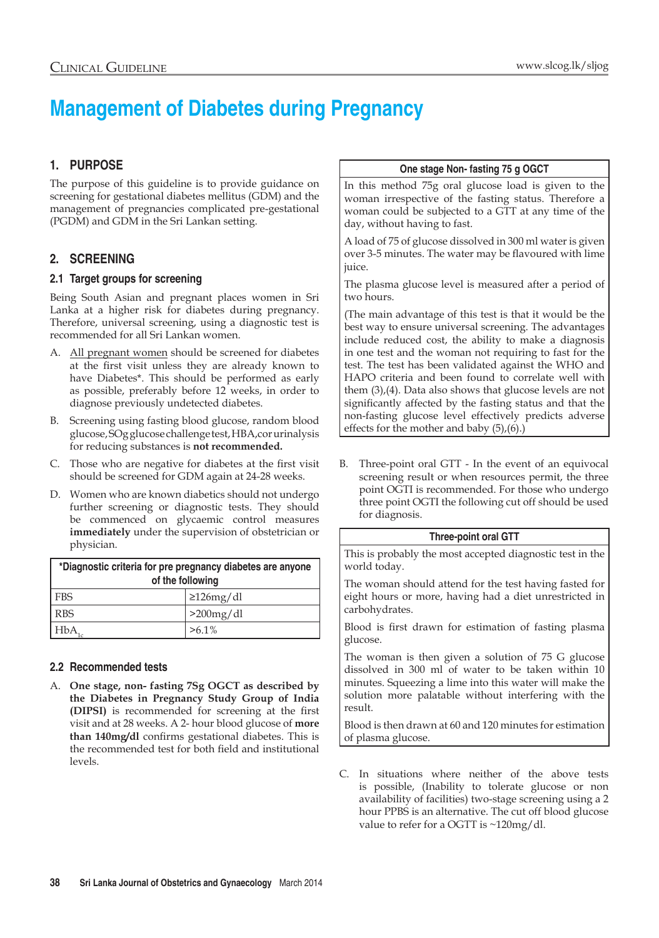# **Management of Diabetes during Pregnancy**

# **1. Purpose**

The purpose of this guideline is to provide guidance on screening for gestational diabetes mellitus (GDM) and the management of pregnancies complicated pre-gestational (PGDM) and GDM in the Sri Lankan setting.

# **2. Screening**

## **2.1 Target groups for screening**

Being South Asian and pregnant places women in Sri Lanka at a higher risk for diabetes during pregnancy. Therefore, universal screening, using a diagnostic test is recommended for all Sri Lankan women.

- A. All pregnant women should be screened for diabetes at the first visit unless they are already known to have Diabetes\*. This should be performed as early as possible, preferably before 12 weeks, in order to diagnose previously undetected diabetes.
- Screening using fasting blood glucose, random blood glucose, SOg glucose challenge test, HBA,cor urinalysis for reducing substances is **not recommended.**
- C. Those who are negative for diabetes at the first visit should be screened for GDM again at 24-28 weeks.
- D. Women who are known diabetics should not undergo further screening or diagnostic tests. They should be commenced on glycaemic control measures **immediately** under the supervision of obstetrician or physician.

| *Diagnostic criteria for pre pregnancy diabetes are anyone<br>of the following |                 |  |  |  |
|--------------------------------------------------------------------------------|-----------------|--|--|--|
| l FBS                                                                          | $\geq$ 126mg/dl |  |  |  |
| <b>RBS</b>                                                                     | $>200$ mg/dl    |  |  |  |
| <b>HbA</b>                                                                     | $>6.1\%$        |  |  |  |

# **2.2 Recommended tests**

A. **One stage, non- fasting 7Sg OGCT as described by the Diabetes in Pregnancy Study Group of India (DIPSI)** is recommended for screening at the first visit and at 28 weeks. A 2- hour blood glucose of **more than 140mg/dl** confirms gestational diabetes. This is the recommended test for both field and institutional levels.

## **One stage Non- fasting 75 g OGCT**

In this method 75g oral glucose load is given to the woman irrespective of the fasting status. Therefore a woman could be subjected to a GTT at any time of the day, without having to fast.

A load of 75 of glucose dissolved in 300 ml water is given over 3-5 minutes. The water may be flavoured with lime juice.

The plasma glucose level is measured after a period of two hours.

(The main advantage of this test is that it would be the best way to ensure universal screening. The advantages include reduced cost, the ability to make a diagnosis in one test and the woman not requiring to fast for the test. The test has been validated against the WHO and HAPO criteria and been found to correlate well with them (3),(4). Data also shows that glucose levels are not significantly affected by the fasting status and that the non-fasting glucose level effectively predicts adverse effects for the mother and baby (5),(6).)

B. Three-point oral GTT - In the event of an equivocal screening result or when resources permit, the three point OGTI is recommended. For those who undergo three point OGTI the following cut off should be used for diagnosis.

## **Three-point oral GTT**

This is probably the most accepted diagnostic test in the world today.

The woman should attend for the test having fasted for eight hours or more, having had a diet unrestricted in carbohydrates.

Blood is first drawn for estimation of fasting plasma glucose.

The woman is then given a solution of 75 G glucose dissolved in 300 ml of water to be taken within 10 minutes. Squeezing a lime into this water will make the solution more palatable without interfering with the result.

Blood is then drawn at 60 and 120 minutes for estimation of plasma glucose.

C. In situations where neither of the above tests is possible, (Inability to tolerate glucose or non availability of facilities) two-stage screening using a 2 hour PPBS is an alternative. The cut off blood glucose value to refer for a OGTT is ~120mg/dl.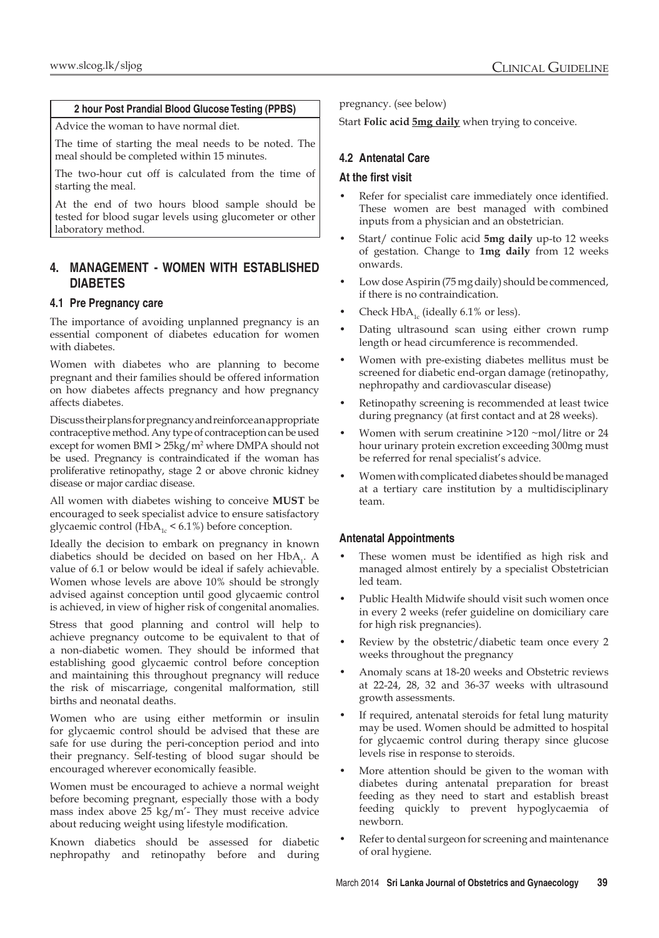#### **2 hour Post Prandial Blood Glucose Testing (PPBS)**

Advice the woman to have normal diet.

The time of starting the meal needs to be noted. The meal should be completed within 15 minutes.

The two-hour cut off is calculated from the time of starting the meal.

At the end of two hours blood sample should be tested for blood sugar levels using glucometer or other laboratory method.

## **4. Management - Women with established Diabetes**

## **4.1 Pre Pregnancy care**

The importance of avoiding unplanned pregnancy is an essential component of diabetes education for women with diabetes.

Women with diabetes who are planning to become pregnant and their families should be offered information on how diabetes affects pregnancy and how pregnancy affects diabetes.

Discuss their plans for pregnancy and reinforce an appropriate contraceptive method. Any type of contraception can be used except for women BMI > 25kg/m2 where DMPA should not be used. Pregnancy is contraindicated if the woman has proliferative retinopathy, stage 2 or above chronic kidney disease or major cardiac disease.

All women with diabetes wishing to conceive **MUST** be encouraged to seek specialist advice to ensure satisfactory glycaemic control (HbA<sub>1c</sub> < 6.1%) before conception.

Ideally the decision to embark on pregnancy in known diabetics should be decided on based on her  $HbA_1$ . A value of 6.1 or below would be ideal if safely achievable. Women whose levels are above 10% should be strongly advised against conception until good glycaemic control is achieved, in view of higher risk of congenital anomalies.

Stress that good planning and control will help to achieve pregnancy outcome to be equivalent to that of a non-diabetic women. They should be informed that establishing good glycaemic control before conception and maintaining this throughout pregnancy will reduce the risk of miscarriage, congenital malformation, still births and neonatal deaths.

Women who are using either metformin or insulin for glycaemic control should be advised that these are safe for use during the peri-conception period and into their pregnancy. Self-testing of blood sugar should be encouraged wherever economically feasible.

Women must be encouraged to achieve a normal weight before becoming pregnant, especially those with a body mass index above 25 kg/m'- They must receive advice about reducing weight using lifestyle modification.

Known diabetics should be assessed for diabetic nephropathy and retinopathy before and during pregnancy. (see below)

Start **Folic acid 5mg daily** when trying to conceive.

## **4.2 Antenatal Care**

#### **At the first visit**

- Refer for specialist care immediately once identified. These women are best managed with combined inputs from a physician and an obstetrician.
- Start/ continue Folic acid **5mg daily** up-to 12 weeks of gestation. Change to **1mg daily** from 12 weeks onwards.
- Low dose Aspirin (75 mg daily) should be commenced, if there is no contraindication.
- Check  $HbA_{1c}$  (ideally 6.1% or less).
- Dating ultrasound scan using either crown rump length or head circumference is recommended.
- Women with pre-existing diabetes mellitus must be screened for diabetic end-organ damage (retinopathy, nephropathy and cardiovascular disease)
- Retinopathy screening is recommended at least twice during pregnancy (at first contact and at 28 weeks).
- Women with serum creatinine  $>120$  ~mol/litre or 24 hour urinary protein excretion exceeding 300mg must be referred for renal specialist's advice.
- Women with complicated diabetes should be managed at a tertiary care institution by a multidisciplinary team.

## **Antenatal Appointments**

- These women must be identified as high risk and managed almost entirely by a specialist Obstetrician led team.
- Public Health Midwife should visit such women once in every 2 weeks (refer guideline on domiciliary care for high risk pregnancies).
- Review by the obstetric/diabetic team once every 2 weeks throughout the pregnancy
- Anomaly scans at 18-20 weeks and Obstetric reviews at 22-24, 28, 32 and 36-37 weeks with ultrasound growth assessments.
- If required, antenatal steroids for fetal lung maturity may be used. Women should be admitted to hospital for glycaemic control during therapy since glucose levels rise in response to steroids.
- More attention should be given to the woman with diabetes during antenatal preparation for breast feeding as they need to start and establish breast feeding quickly to prevent hypoglycaemia of newborn.
- Refer to dental surgeon for screening and maintenance of oral hygiene.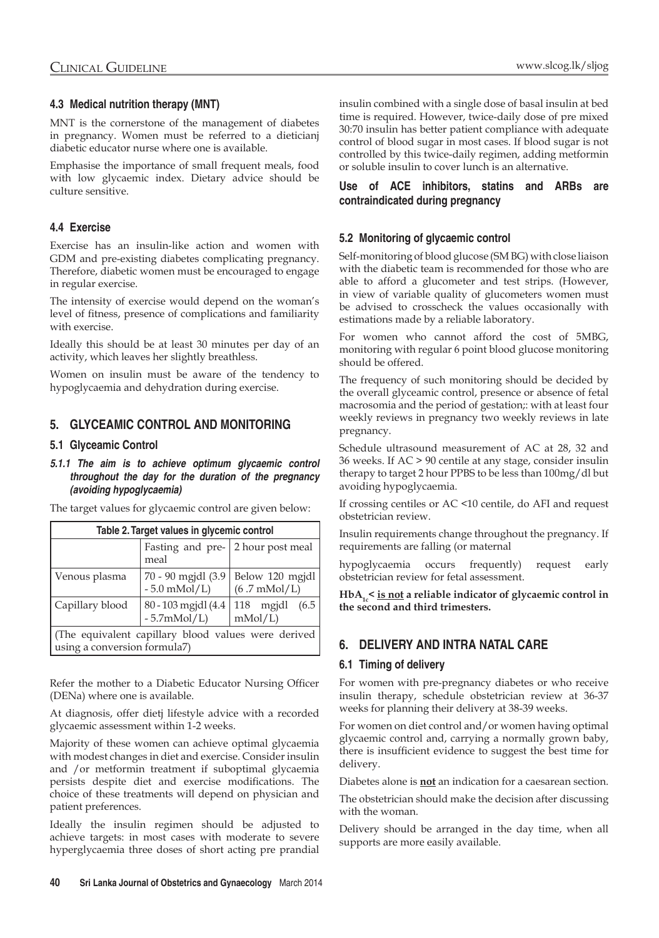### **4.3 Medical nutrition therapy (MNT)**

MNT is the cornerstone of the management of diabetes in pregnancy. Women must be referred to a dieticianj diabetic educator nurse where one is available.

Emphasise the importance of small frequent meals, food with low glycaemic index. Dietary advice should be culture sensitive.

## **4.4 Exercise**

Exercise has an insulin-like action and women with GDM and pre-existing diabetes complicating pregnancy. Therefore, diabetic women must be encouraged to engage in regular exercise.

The intensity of exercise would depend on the woman's level of fitness, presence of complications and familiarity with exercise.

Ideally this should be at least 30 minutes per day of an activity, which leaves her slightly breathless.

Women on insulin must be aware of the tendency to hypoglycaemia and dehydration during exercise.

## **5. Glyceamic control and Monitoring**

#### **5.1 Glyceamic Control**

*5.1.1 The aim is to achieve optimum glycaemic control throughout the day for the duration of the pregnancy (avoiding hypoglycaemia)*

|  |  | The target values for glycaemic control are given below: |  |  |
|--|--|----------------------------------------------------------|--|--|
|  |  |                                                          |  |  |

| Table 2. Target values in glycemic control                                          |                                                          |                                           |  |  |  |  |
|-------------------------------------------------------------------------------------|----------------------------------------------------------|-------------------------------------------|--|--|--|--|
|                                                                                     | Fasting and pre- 2 hour post meal<br>meal                |                                           |  |  |  |  |
| Venous plasma                                                                       | 70 - 90 mgjdl (3.9<br>$-5.0$ mMol/L)                     | Below 120 mgjdl<br>$(6.7 \text{ mMol/L})$ |  |  |  |  |
| Capillary blood                                                                     | 80 - 103 mgjdl $(4.4 \mid 118$ mgjdl<br>$-5.7$ m $Mol/L$ | (6.5)<br>mMol/L                           |  |  |  |  |
| (The equivalent capillary blood values were derived<br>using a conversion formula7) |                                                          |                                           |  |  |  |  |

Refer the mother to a Diabetic Educator Nursing Officer (DENa) where one is available.

At diagnosis, offer dietj lifestyle advice with a recorded glycaemic assessment within 1-2 weeks.

Majority of these women can achieve optimal glycaemia with modest changes in diet and exercise. Consider insulin and /or metformin treatment if suboptimal glycaemia persists despite diet and exercise modifications. The choice of these treatments will depend on physician and patient preferences.

Ideally the insulin regimen should be adjusted to achieve targets: in most cases with moderate to severe hyperglycaemia three doses of short acting pre prandial

insulin combined with a single dose of basal insulin at bed time is required. However, twice-daily dose of pre mixed 30:70 insulin has better patient compliance with adequate control of blood sugar in most cases. If blood sugar is not controlled by this twice-daily regimen, adding metformin or soluble insulin to cover lunch is an alternative.

#### **Use of ACE inhibitors, statins and ARBs are contraindicated during pregnancy**

#### **5.2 Monitoring of glycaemic control**

Self-monitoring of blood glucose (SM BG) with close liaison with the diabetic team is recommended for those who are able to afford a glucometer and test strips. (However, in view of variable quality of glucometers women must be advised to crosscheck the values occasionally with estimations made by a reliable laboratory.

For women who cannot afford the cost of 5MBG, monitoring with regular 6 point blood glucose monitoring should be offered.

The frequency of such monitoring should be decided by the overall glyceamic control, presence or absence of fetal macrosomia and the period of gestation;: with at least four weekly reviews in pregnancy two weekly reviews in late pregnancy.

Schedule ultrasound measurement of AC at 28, 32 and 36 weeks. If AC > 90 centile at any stage, consider insulin therapy to target 2 hour PPBS to be less than 100mg/dl but avoiding hypoglycaemia.

If crossing centiles or AC <10 centile, do AFI and request obstetrician review.

Insulin requirements change throughout the pregnancy. If requirements are falling (or maternal

hypoglycaemia occurs frequently) request early obstetrician review for fetal assessment.

HbA<sub>1c</sub> < is not a reliable indicator of glycaemic control in **the second and third trimesters.**

## **6. Delivery and intra natal care**

#### **6.1 Timing of delivery**

For women with pre-pregnancy diabetes or who receive insulin therapy, schedule obstetrician review at 36-37 weeks for planning their delivery at 38-39 weeks.

For women on diet control and/or women having optimal glycaemic control and, carrying a normally grown baby, there is insufficient evidence to suggest the best time for delivery.

Diabetes alone is **not** an indication for a caesarean section.

The obstetrician should make the decision after discussing with the woman.

Delivery should be arranged in the day time, when all supports are more easily available.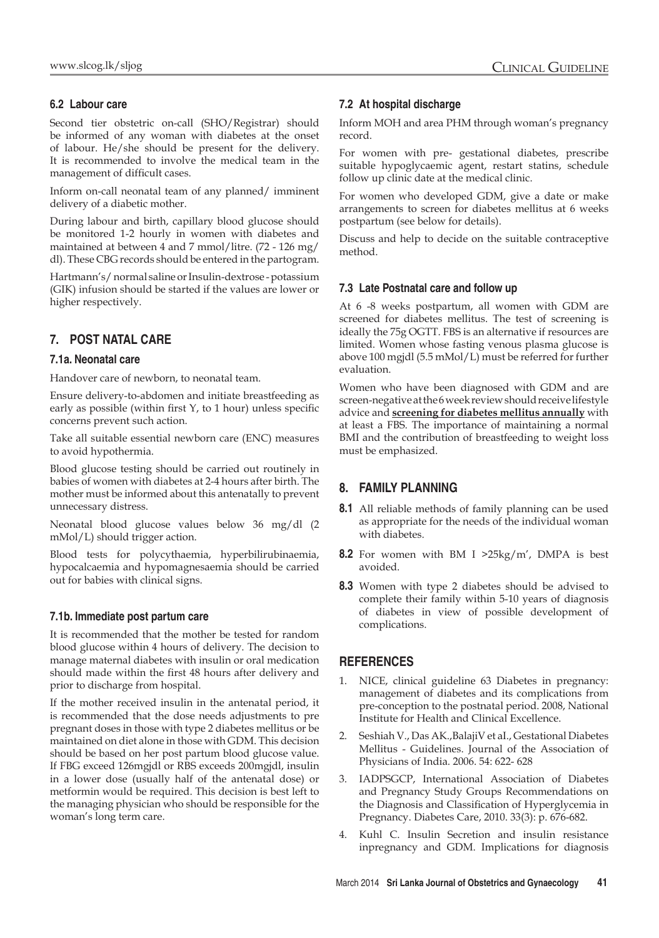## **6.2 Labour care**

Second tier obstetric on-call (SHO/Registrar) should be informed of any woman with diabetes at the onset of labour. He/she should be present for the delivery. It is recommended to involve the medical team in the management of difficult cases.

Inform on-call neonatal team of any planned/ imminent delivery of a diabetic mother.

During labour and birth, capillary blood glucose should be monitored 1-2 hourly in women with diabetes and maintained at between 4 and 7 mmol/litre. (72 - 126 mg/ dl). These CBG records should be entered in the partogram.

Hartmann's/ normal saline or Insulin-dextrose - potassium (GIK) infusion should be started if the values are lower or higher respectively.

## **7. Post natal care**

#### **7.1a. Neonatal care**

Handover care of newborn, to neonatal team.

Ensure delivery-to-abdomen and initiate breastfeeding as early as possible (within first Y, to 1 hour) unless specific concerns prevent such action.

Take all suitable essential newborn care (ENC) measures to avoid hypothermia.

Blood glucose testing should be carried out routinely in babies of women with diabetes at 2-4 hours after birth. The mother must be informed about this antenatally to prevent unnecessary distress.

Neonatal blood glucose values below 36 mg/dl (2 mMol/L) should trigger action.

Blood tests for polycythaemia, hyperbilirubinaemia, hypocalcaemia and hypomagnesaemia should be carried out for babies with clinical signs.

#### **7.1b. Immediate post partum care**

It is recommended that the mother be tested for random blood glucose within 4 hours of delivery. The decision to manage maternal diabetes with insulin or oral medication should made within the first 48 hours after delivery and prior to discharge from hospital.

If the mother received insulin in the antenatal period, it is recommended that the dose needs adjustments to pre pregnant doses in those with type 2 diabetes mellitus or be maintained on diet alone in those with GDM. This decision should be based on her post partum blood glucose value. If FBG exceed 126mgjdl or RBS exceeds 200mgjdl, insulin in a lower dose (usually half of the antenatal dose) or metformin would be required. This decision is best left to the managing physician who should be responsible for the woman's long term care.

#### **7.2 At hospital discharge**

Inform MOH and area PHM through woman's pregnancy record.

For women with pre- gestational diabetes, prescribe suitable hypoglycaemic agent, restart statins, schedule follow up clinic date at the medical clinic.

For women who developed GDM, give a date or make arrangements to screen for diabetes mellitus at 6 weeks postpartum (see below for details).

Discuss and help to decide on the suitable contraceptive method.

#### **7.3 Late Postnatal care and follow up**

At 6 -8 weeks postpartum, all women with GDM are screened for diabetes mellitus. The test of screening is ideally the 75g OGTT. FBS is an alternative if resources are limited. Women whose fasting venous plasma glucose is above 100 mgjdl (5.5 mMol/L) must be referred for further evaluation.

Women who have been diagnosed with GDM and are screen-negative at the 6 week review should receive lifestyle advice and **screening for diabetes mellitus annually** with at least a FBS. The importance of maintaining a normal BMI and the contribution of breastfeeding to weight loss must be emphasized.

## **8. Family Planning**

- **8.1** All reliable methods of family planning can be used as appropriate for the needs of the individual woman with diabetes.
- **8.2** For women with BM I >25kg/m', DMPA is best avoided.
- **8.3** Women with type 2 diabetes should be advised to complete their family within 5-10 years of diagnosis of diabetes in view of possible development of complications.

## **References**

- 1. NICE, clinical guideline 63 Diabetes in pregnancy: management of diabetes and its complications from pre-conception to the postnatal period. 2008, National Institute for Health and Clinical Excellence.
- 2. Seshiah V., Das AK.,BalajiV et aI., Gestational Diabetes Mellitus - Guidelines. Journal of the Association of Physicians of India. 2006. 54: 622- 628
- 3. IADPSGCP, International Association of Diabetes and Pregnancy Study Groups Recommendations on the Diagnosis and Classification of Hyperglycemia in Pregnancy. Diabetes Care, 2010. 33(3): p. 676-682.
- 4. Kuhl C. Insulin Secretion and insulin resistance inpregnancy and GDM. Implications for diagnosis